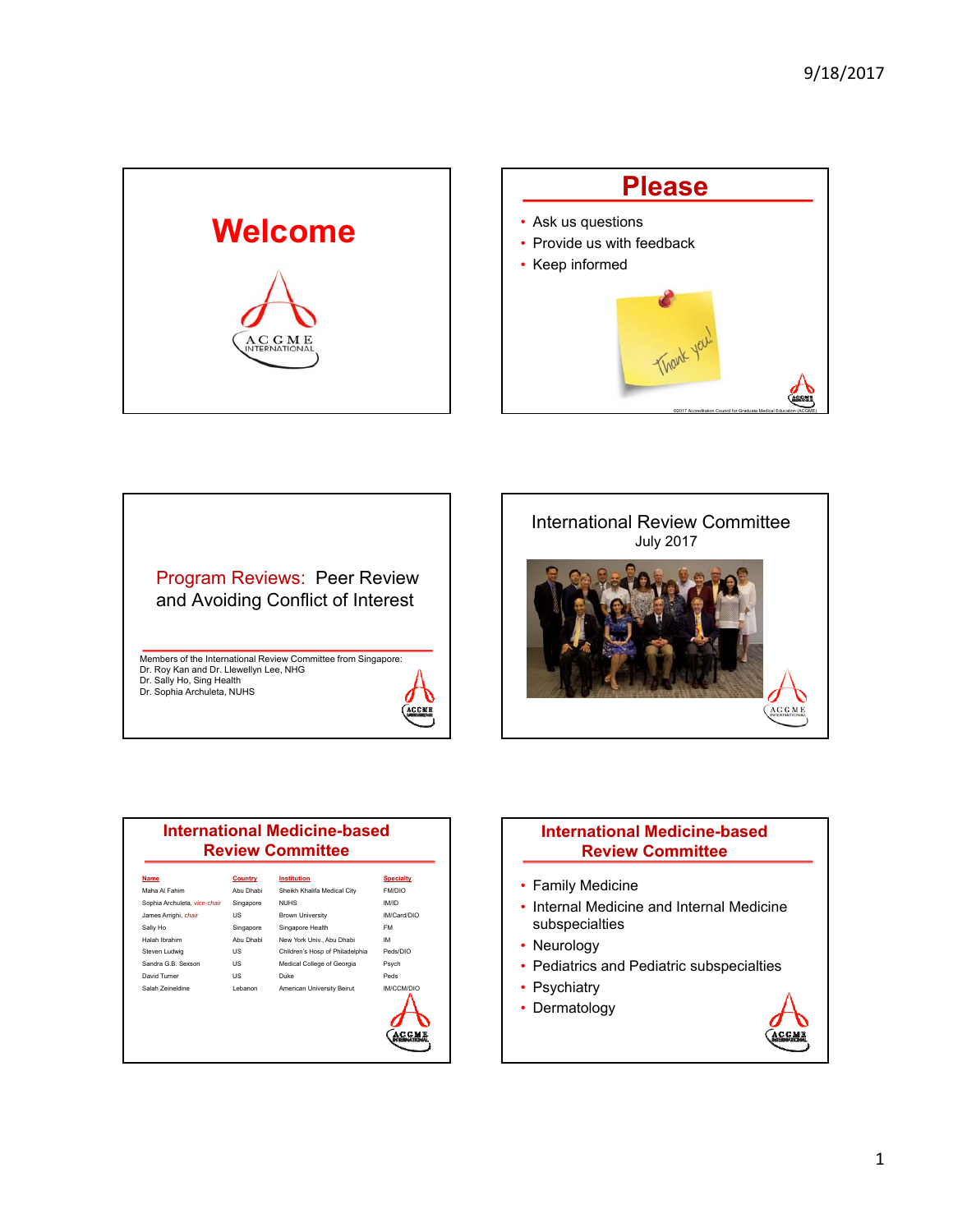





Dr. Sally Ho, Sing Health Dr. Sophia Archuleta, NUHS







### **International Medicine-based Review Committee**

- Family Medicine
- Internal Medicine and Internal Medicine subspecialties
- Neurology
- Pediatrics and Pediatric subspecialties
- Psychiatry
- Dermatology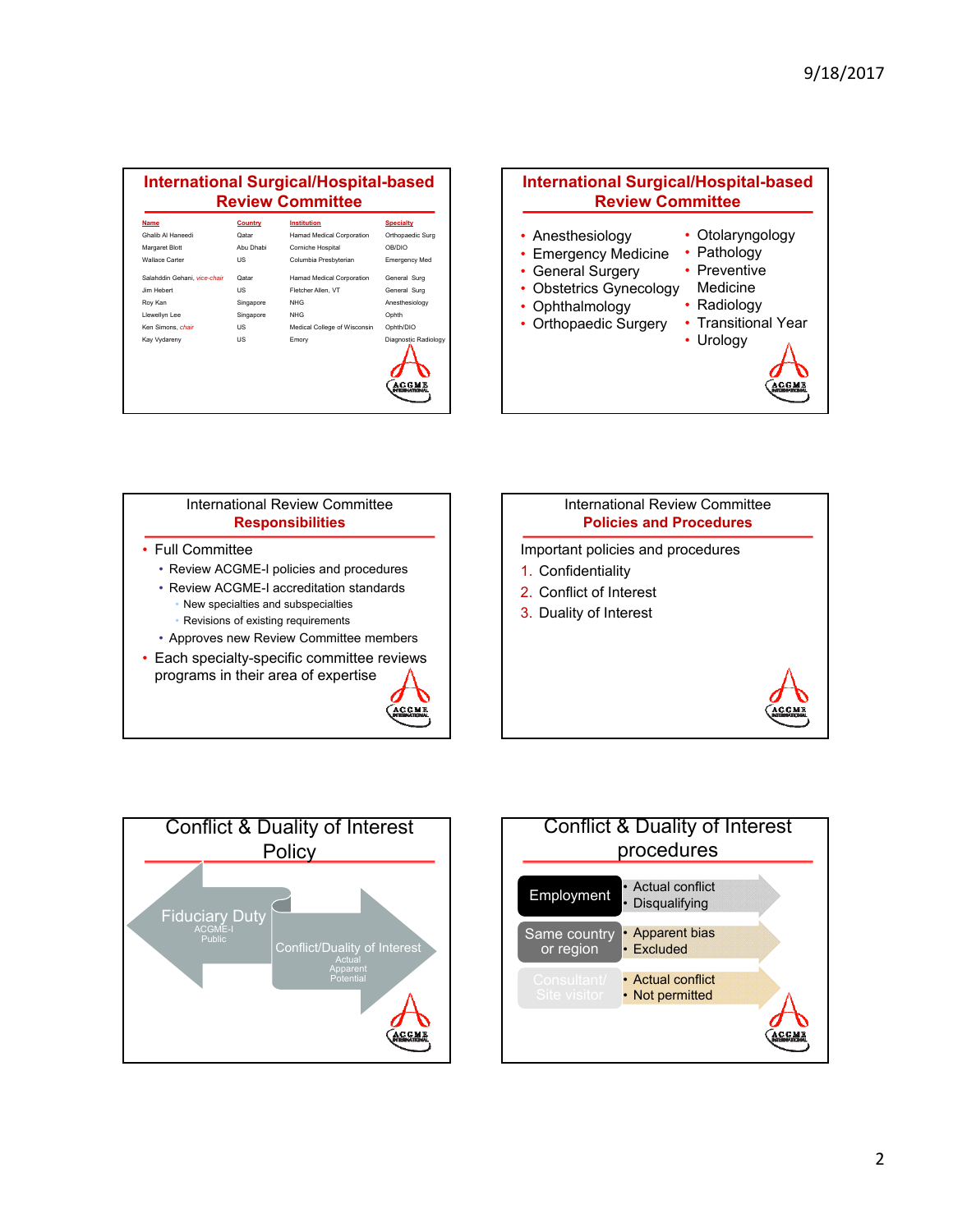#### **International Surgical/Hospital-based Review Committee Name Country Institution Specialty** Ghalib Al Haneedi Qatar Hamad Medical Corporation Orthopaedic Surg Margaret Blott Abu Dhabi Corniche Hospital OB/DIO Wallace Carter **US** Columbia Presbyterian Emergency Med Salahddin Gehani, *vice-chair* Qatar Hamad Medical Corporation General Surg Jim Hebert US Fletcher Allen, VT General Surg Roy Kan Singapore NHG Anesthesiology Llewellyn Lee Singapore NHG Ophth Ken Simons, *chair* US Medical College of Wisconsin Ophth/DIO Kay Vydareny **New York CONFIDENT US** Emory **Emory** Diagnostic Radi





**ACCME** 



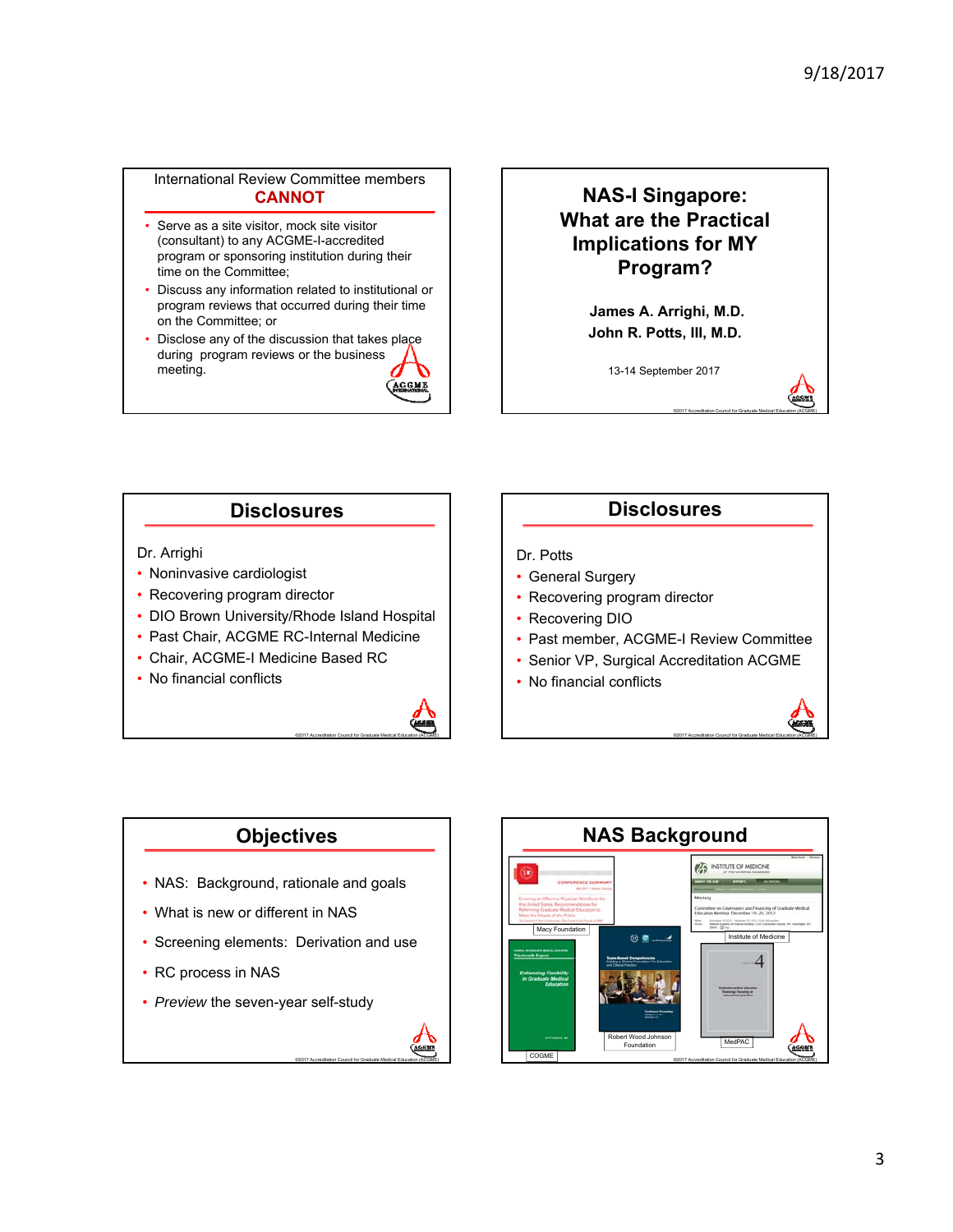### International Review Committee members **CANNOT**

- Serve as a site visitor, mock site visitor (consultant) to any ACGME-I-accredited program or sponsoring institution during their time on the Committee;
- Discuss any information related to institutional or program reviews that occurred during their time on the Committee; or
- Disclose any of the discussion that takes place during program reviews or the business meeting. **ACCME**

## **NAS-I Singapore: What are the Practical Implications for MY Program?**

**James A. Arrighi, M.D. John R. Potts, III, M.D.**

13-14 September 2017

©2017 Accreditation Council for Graduate Medical Education (ACGME)

### **Disclosures**

### Dr. Arrighi

- Noninvasive cardiologist
- Recovering program director
- DIO Brown University/Rhode Island Hospital
- Past Chair, ACGME RC-Internal Medicine
- Chair, ACGME-I Medicine Based RC
- No financial conflicts



## **Disclosures**

### Dr. Potts

- General Surgery
- Recovering program director
- Recovering DIO
- Past member, ACGME-I Review Committee
- Senior VP, Surgical Accreditation ACGME
- No financial conflicts



## **Objectives**

- NAS: Background, rationale and goals
- What is new or different in NAS
- Screening elements: Derivation and use

©2017 Accreditation Council for Graduate Medical Education (ACGME)

AGENT

- RC process in NAS
- *Preview* the seven-year self-study

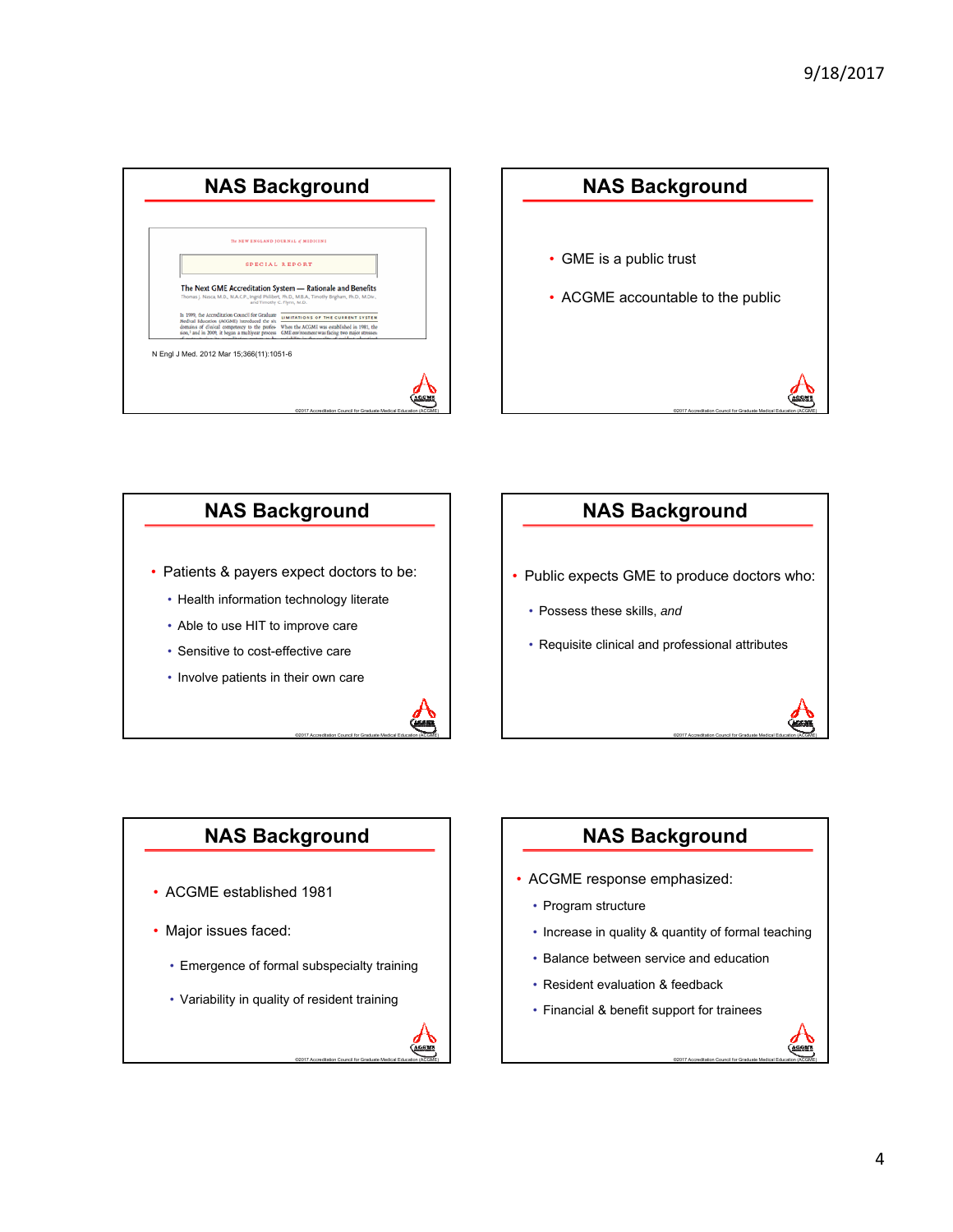





## **NAS Background**

- Public expects GME to produce doctors who:
	- Possess these skills, *and*
	- Requisite clinical and professional attributes

## **NAS Background**

- ACGME established 1981
- Major issues faced:
	- Emergence of formal subspecialty training
	- Variability in quality of resident training



## **NAS Background**

©2017 Accreditation Council for Graduate Medical Education (ACGME)

©2017 Accreditation Council for Graduate Medical Education (ACGME)

- ACGME response emphasized:
	- Program structure
	- Increase in quality & quantity of formal teaching
	- Balance between service and education
	- Resident evaluation & feedback
	- Financial & benefit support for trainees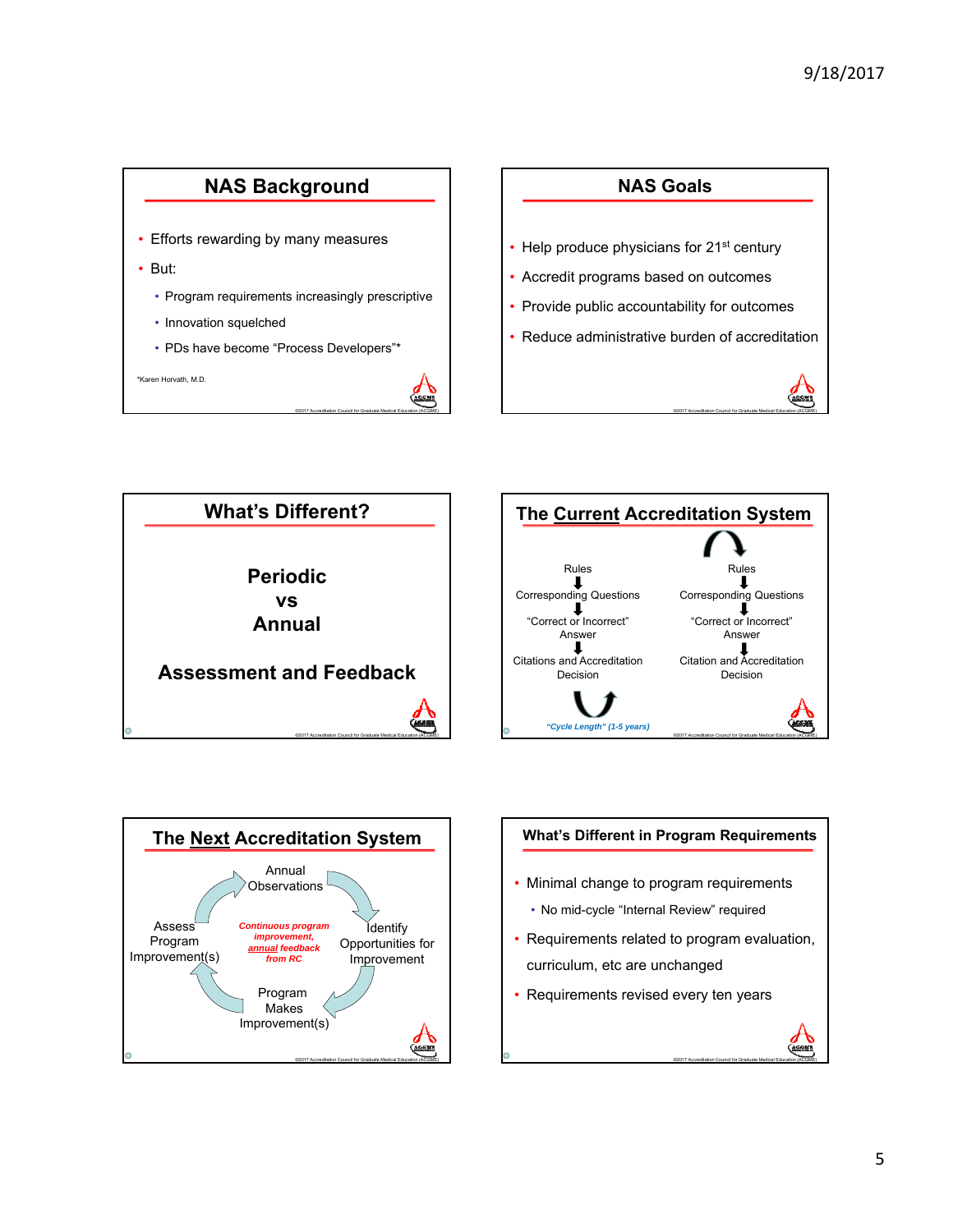









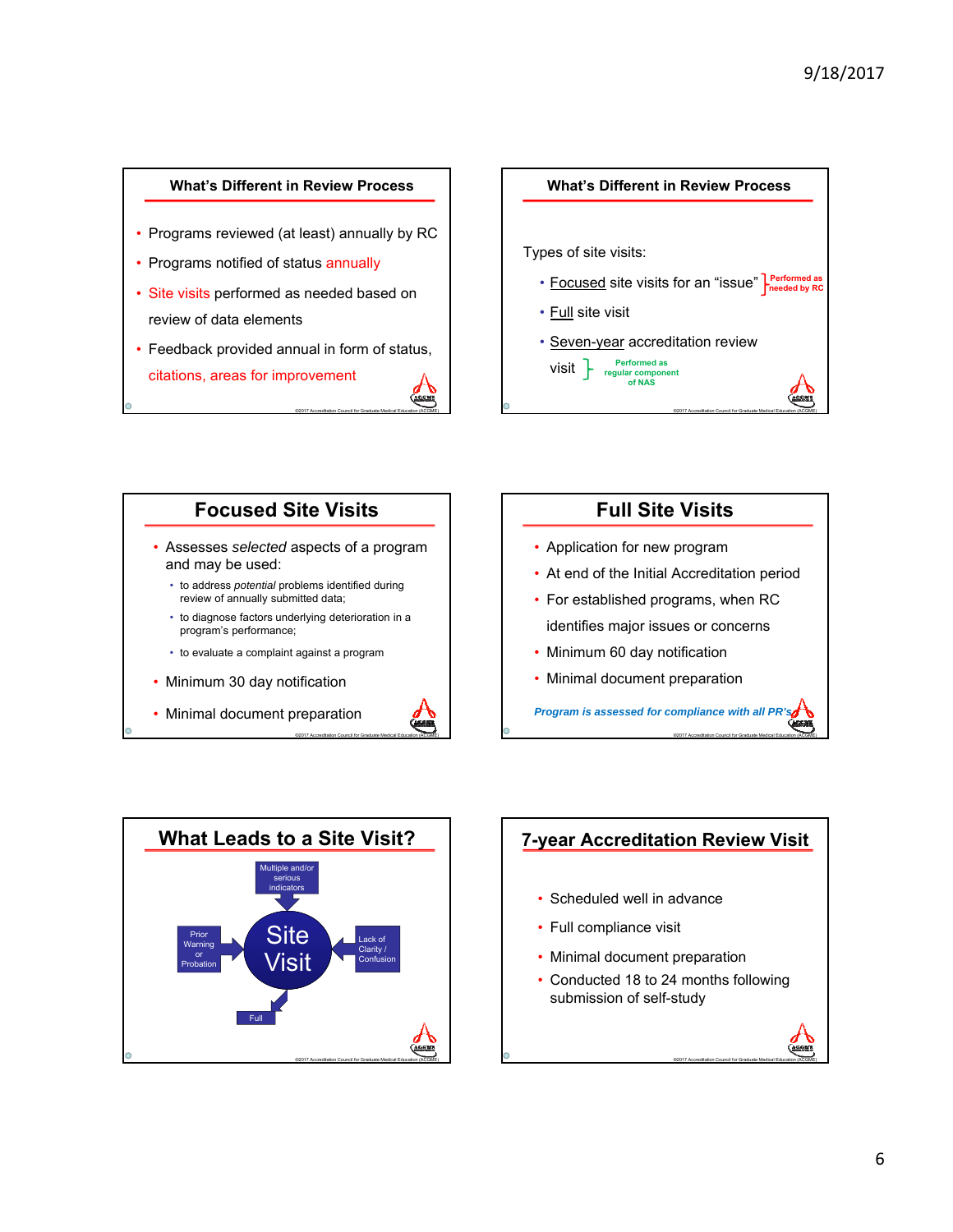### **What's Different in Review Process**

- Programs reviewed (at least) annually by RC
- Programs notified of status annually
- Site visits performed as needed based on review of data elements
- Feedback provided annual in form of status, citations, areas for improvement





## **Focused Site Visits** • Assesses *selected* aspects of a program and may be used: • to address *potential* problems identified during review of annually submitted data; • to diagnose factors underlying deterioration in a program's performance; • to evaluate a complaint against a program • Minimum 30 day notification • Minimal document preparation

©2017 Accreditation Council for Graduate Medical Education (ACGME)



- Application for new program
- At end of the Initial Accreditation period
- For established programs, when RC identifies major issues or concerns
- Minimum 60 day notification
- Minimal document preparation

*Program is assessed for compliance with all PR's*

©2017 Accreditation Council for Graduate Medical Education (ACGME)

©2017 Accreditation Council for Graduate Medical Education (ACGME)



# **7-year Accreditation Review Visit** • Scheduled well in advance • Full compliance visit

- Minimal document preparation
- Conducted 18 to 24 months following submission of self-study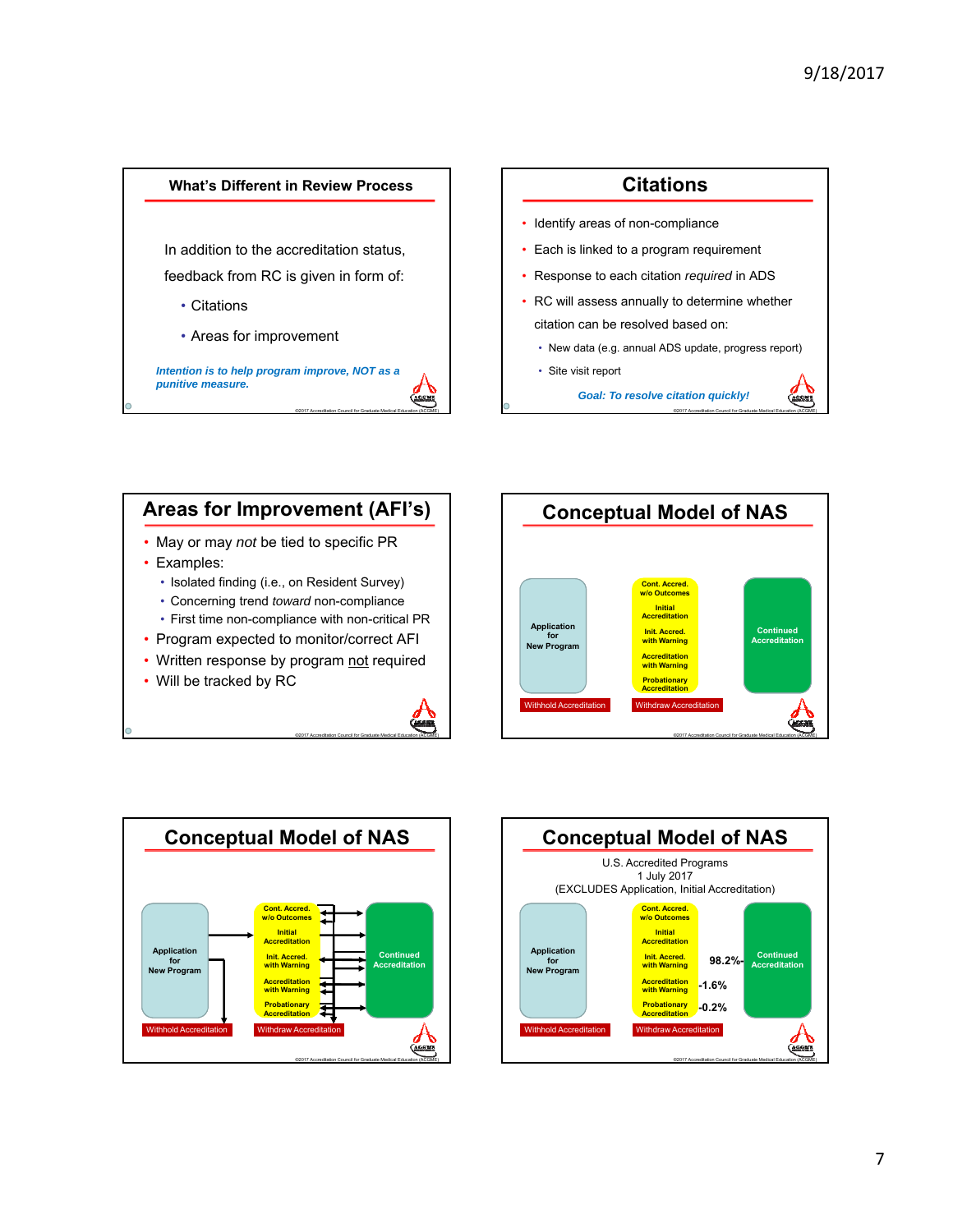

# **Citations** • Identify areas of non-compliance • Each is linked to a program requirement • Response to each citation *required* in ADS RC will assess annually to determine whether citation can be resolved based on: • New data (e.g. annual ADS update, progress report)

• Site visit report

*Goal: To resolve citation quickly!*

©2017 Accreditation Council for Graduate Medical Education (ACGME)



• Will be tracked by RC



©2017 Accreditation Council for Graduate Medical Education (ACGME)





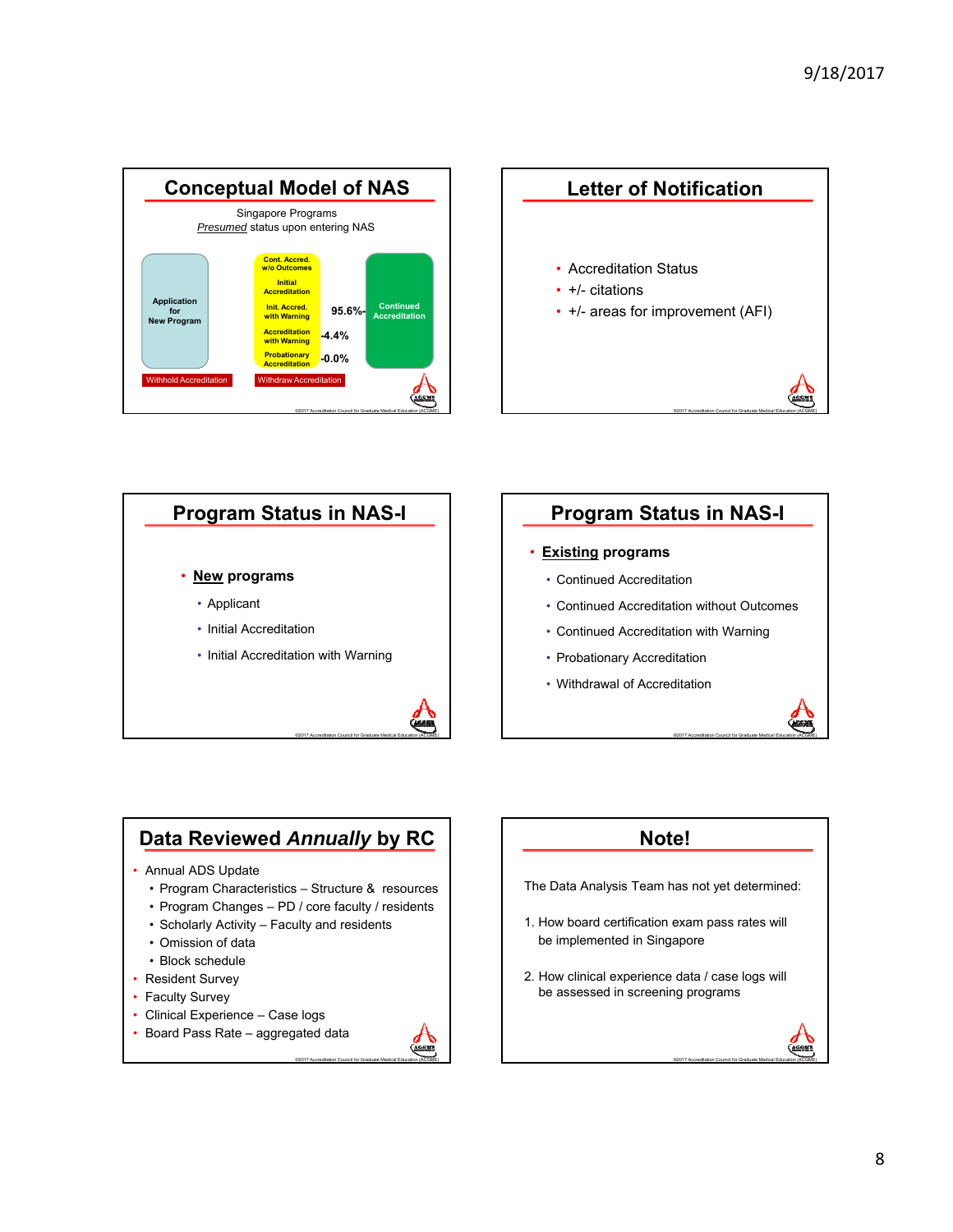





# **Data Reviewed** *Annually* **by RC**

### • Annual ADS Update

- Program Characteristics Structure & resources
- Program Changes PD / core faculty / residents

©2017 Accreditation Council for Graduate Medical Education (ACGME)

CEM

- Scholarly Activity Faculty and residents
- Omission of data
- Block schedule
- Resident Survey
- Faculty Survey
- Clinical Experience Case logs
- Board Pass Rate aggregated data

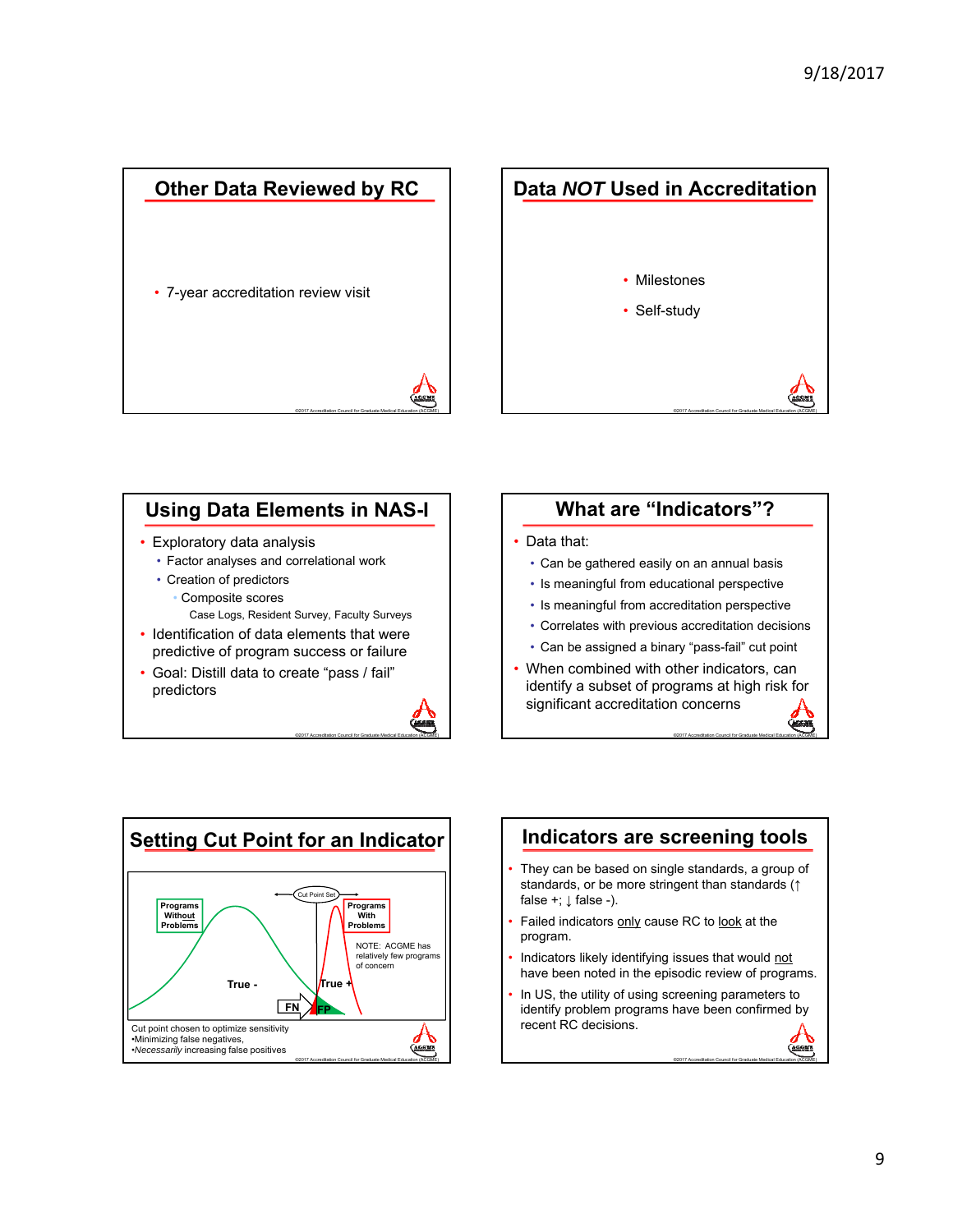



## **Using Data Elements in NAS-I**

- Exploratory data analysis
	- Factor analyses and correlational work
	- Creation of predictors
		- Composite scores
		- Case Logs, Resident Survey, Faculty Surveys
- Identification of data elements that were predictive of program success or failure
- Goal: Distill data to create "pass / fail" predictors



## **What are "Indicators"?**

### Data that:

- Can be gathered easily on an annual basis
- Is meaningful from educational perspective
- Is meaningful from accreditation perspective
- Correlates with previous accreditation decisions
- Can be assigned a binary "pass-fail" cut point
- When combined with other indicators, can identify a subset of programs at high risk for significant accreditation concerns

©2017 Accreditation Council for Graduate Medical Education (ACGME)

**GASKATE** 

©2017 Accreditation Council for Graduate Medical Education (ACGME)



### **Indicators are screening tools** They can be based on single standards, a group of standards, or be more stringent than standards (↑ false +;  $\downarrow$  false -). Failed indicators only cause RC to look at the program. Indicators likely identifying issues that would not have been noted in the episodic review of programs.

In US, the utility of using screening parameters to identify problem programs have been confirmed by recent RC decisions.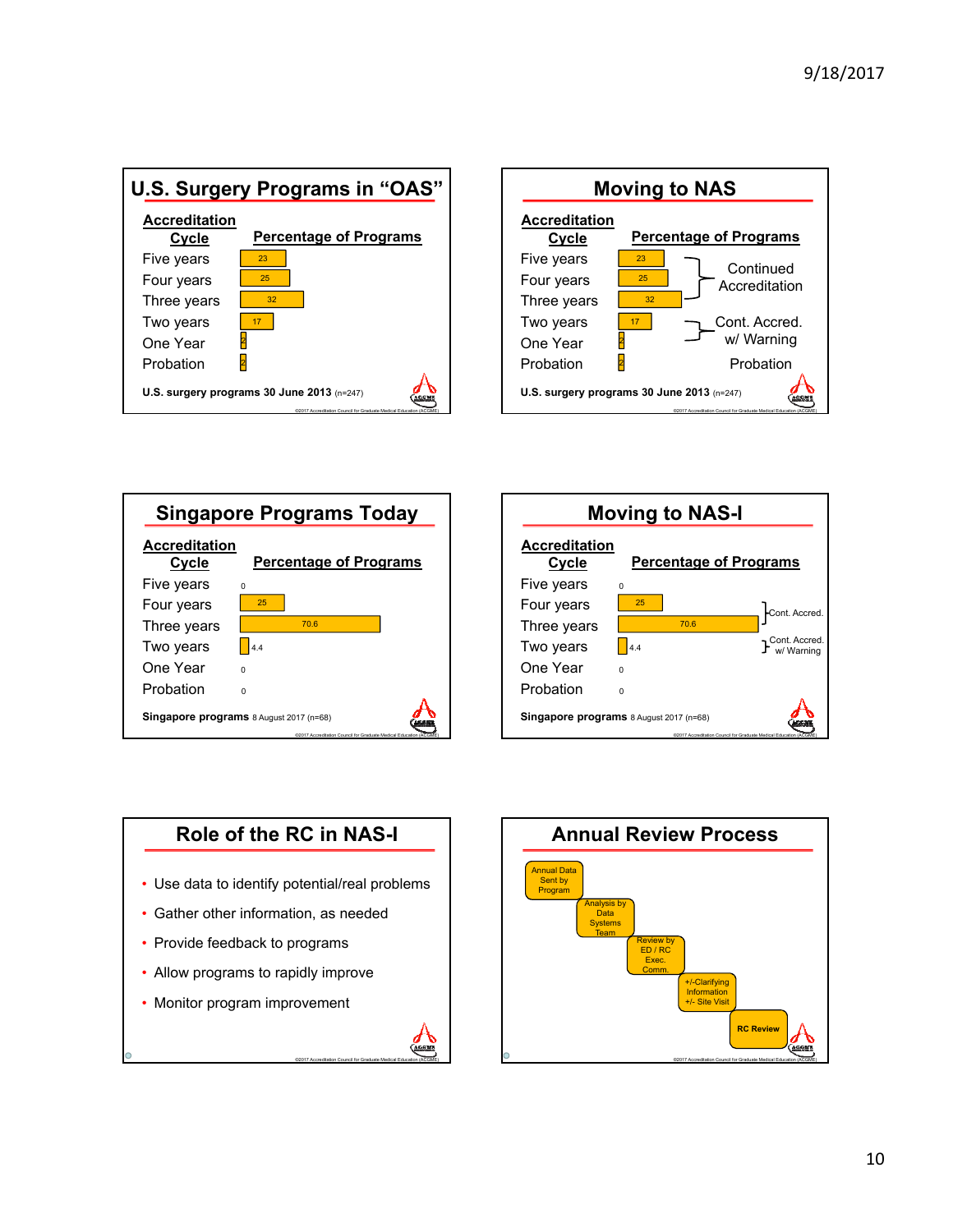







## **Role of the RC in NAS-I**

- Use data to identify potential/real problems
- Gather other information, as needed
- Provide feedback to programs
- Allow programs to rapidly improve
- Monitor program improvement



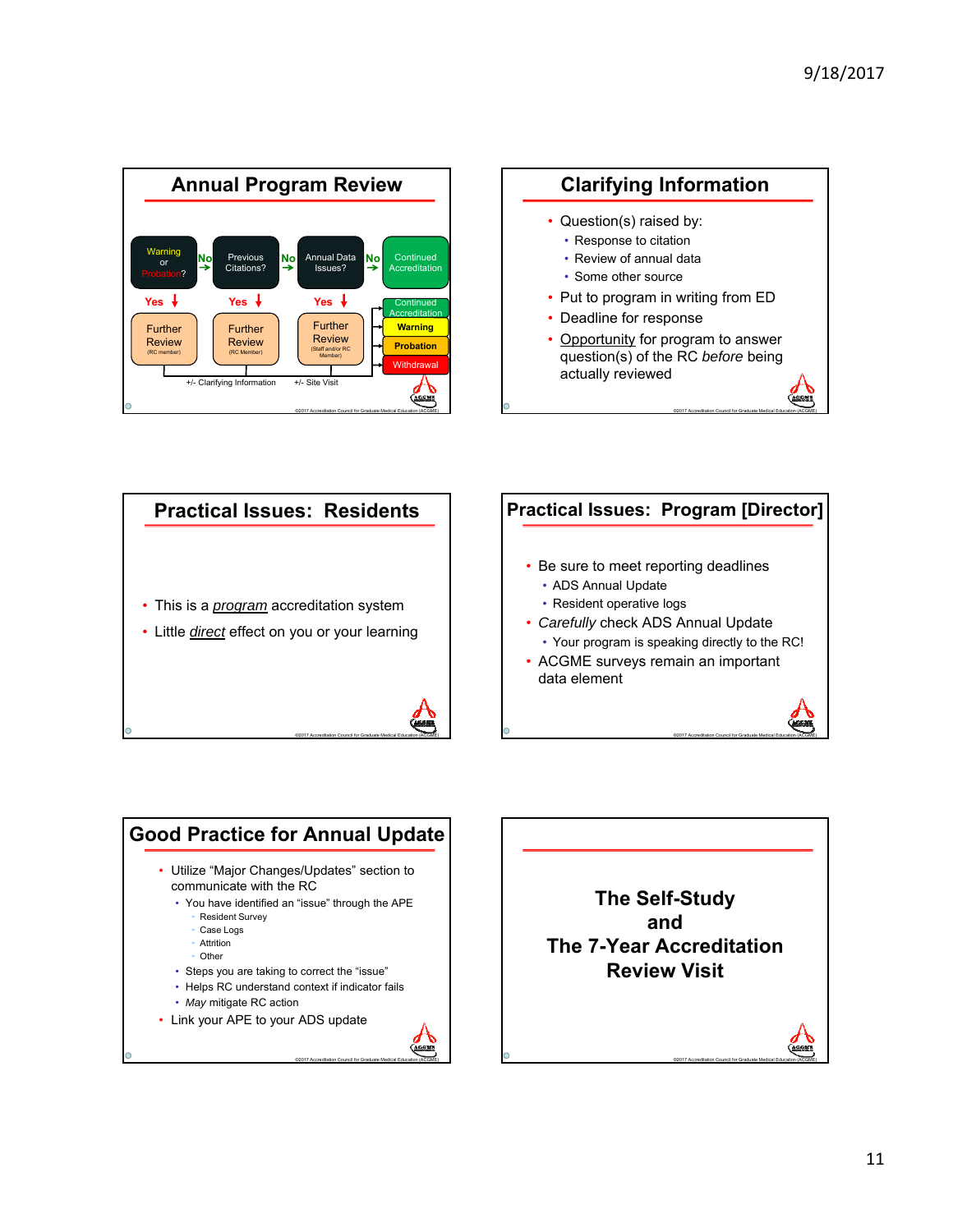







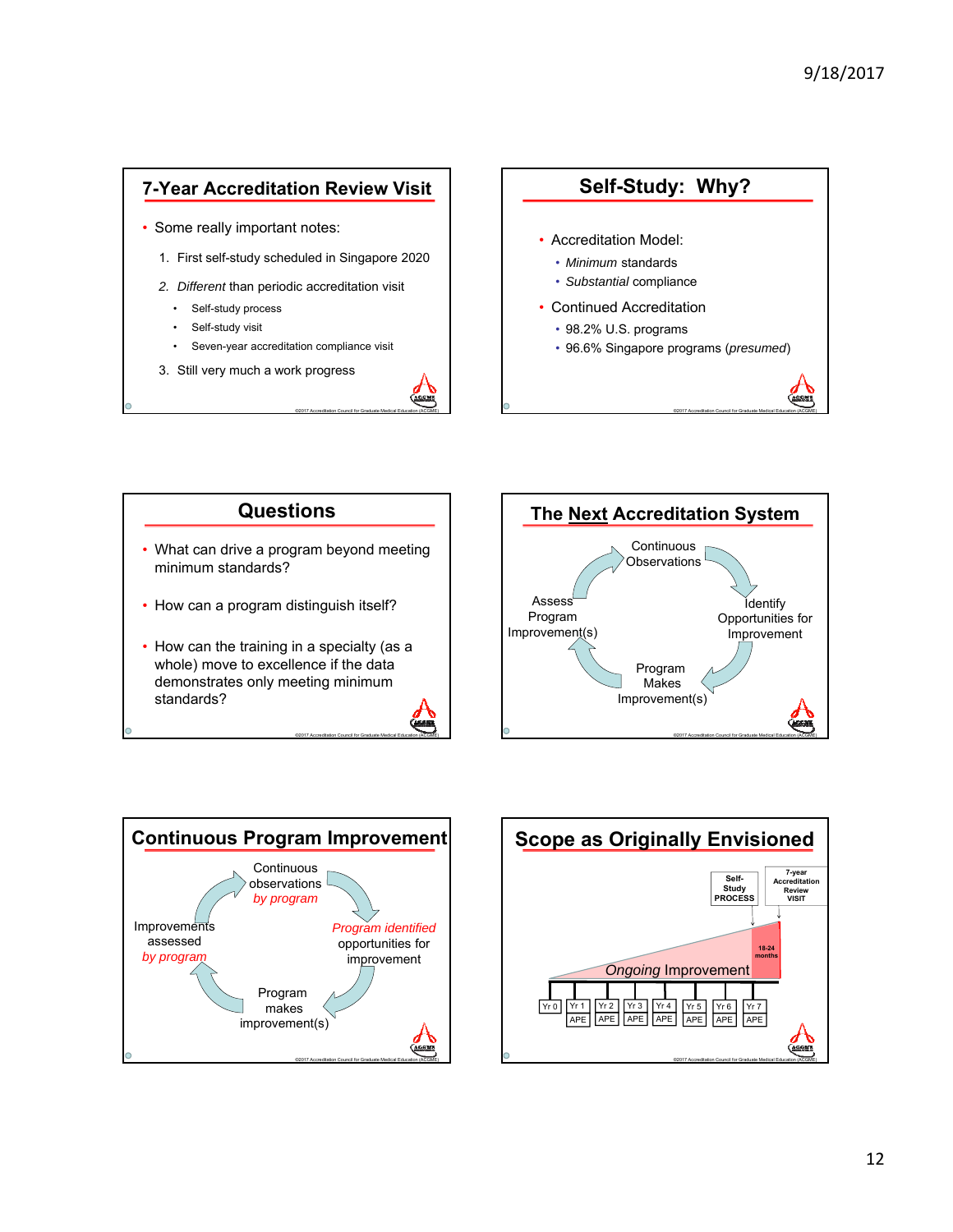### **7-Year Accreditation Review Visit**

- Some really important notes:
	- 1. First self-study scheduled in Singapore 2020
	- *2. Different* than periodic accreditation visit
		- Self-study process
		- Self-study visit
		- Seven-year accreditation compliance visit

©2017 Accreditation Council for Graduate Medical Education (ACGME)

©2017 Accreditation Council for Graduate Medical Education (ACGME)

3. Still very much a work progress









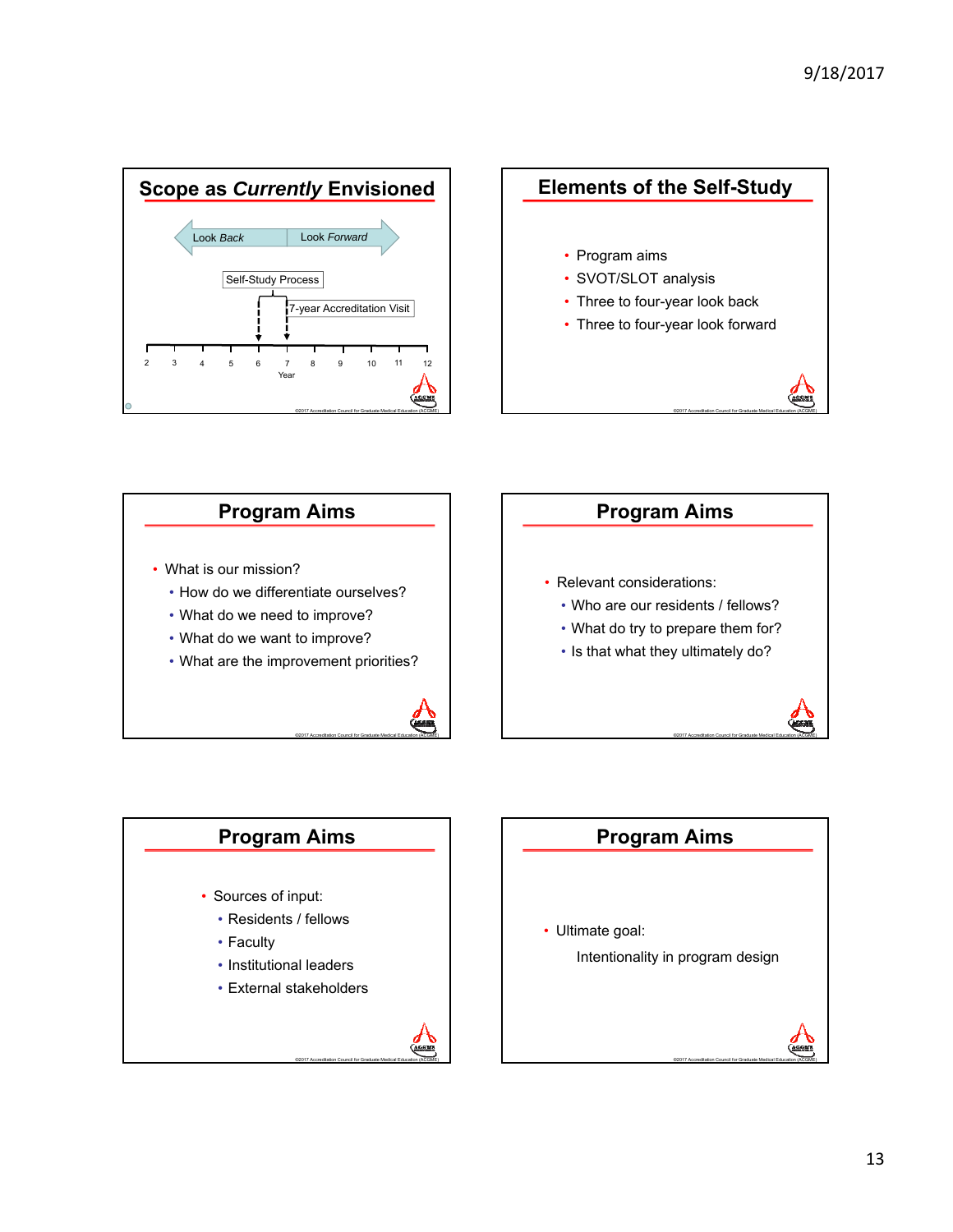







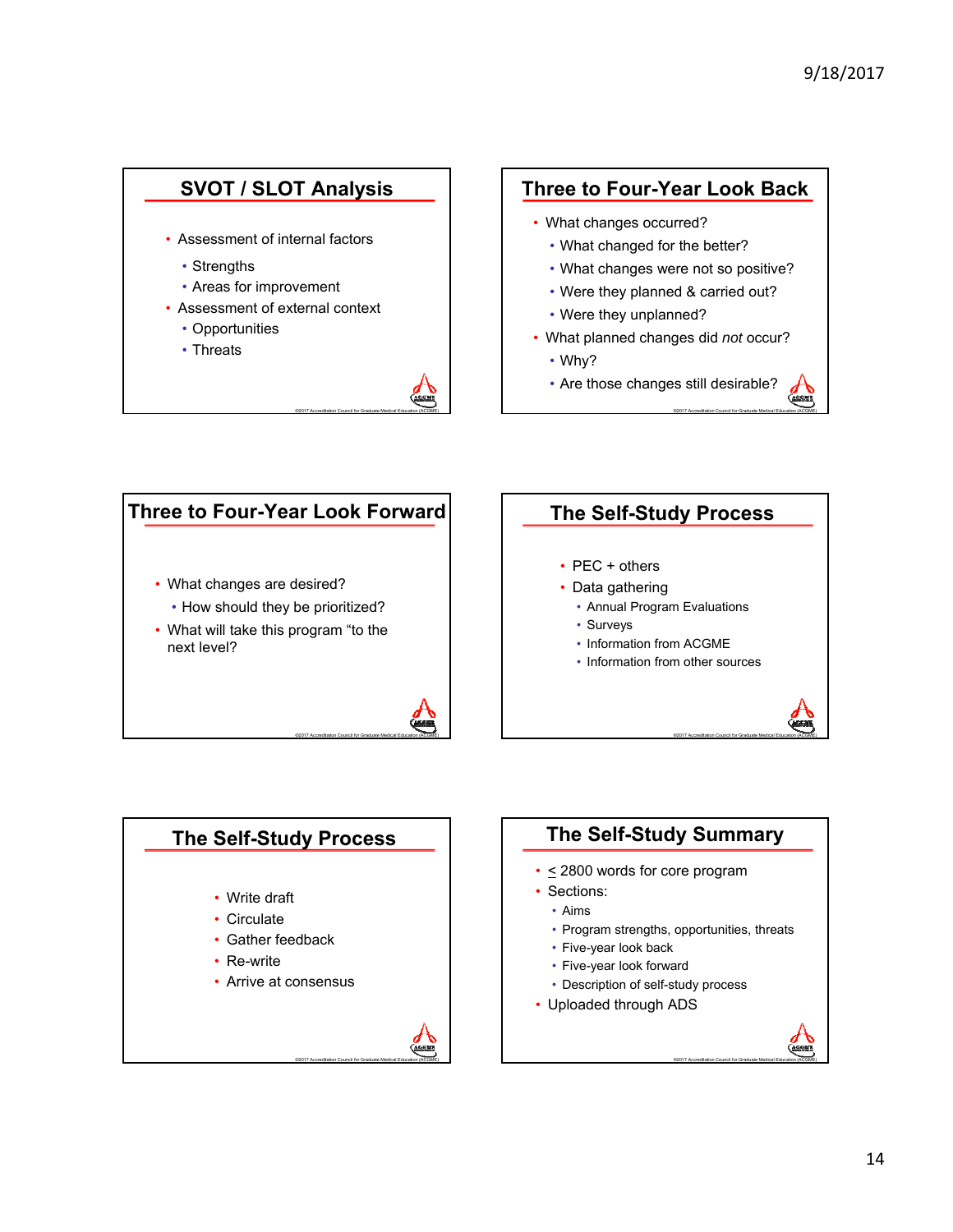

## **Three to Four-Year Look Back**

- What changes occurred?
	- What changed for the better?
	- What changes were not so positive?
	- Were they planned & carried out?
	- Were they unplanned?
- What planned changes did *not* occur?
	- Why?
	- Are those changes still desirable?

©2017 Accreditation Council for Graduate Medical Education (ACGME)







©2017 Accreditation Council for Graduate Medical Education (ACGME)